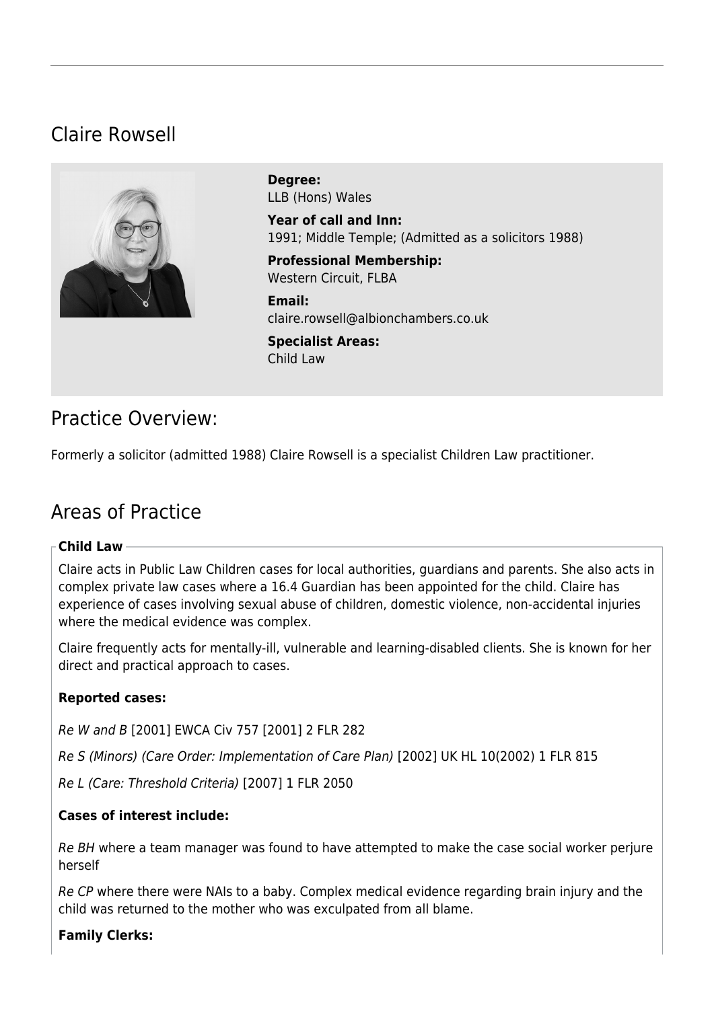# Claire Rowsell



**Degree:**  LLB (Hons) Wales

**Year of call and Inn:**  1991; Middle Temple; (Admitted as a solicitors 1988)

**Professional Membership:**  Western Circuit, FLBA

**Email:**  [claire.rowsell@albionchambers.co.uk](mailto:claire.rowsell@albionchambers.co.uk)

**Specialist Areas:**  [Child Law](https://www.albionchambers.co.uk/specialist-areas/child-law)

### Practice Overview:

Formerly a solicitor (admitted 1988) Claire Rowsell is a specialist Children Law practitioner.

# Areas of Practice

#### **Child Law**

Claire acts in Public Law Children cases for local authorities, guardians and parents. She also acts in complex private law cases where a 16.4 Guardian has been appointed for the child. Claire has experience of cases involving sexual abuse of children, domestic violence, non-accidental injuries where the medical evidence was complex.

Claire frequently acts for mentally-ill, vulnerable and learning-disabled clients. She is known for her direct and practical approach to cases.

#### **Reported cases:**

Re W and B [2001] EWCA Civ 757 [2001] 2 FLR 282

Re S (Minors) (Care Order: Implementation of Care Plan) [2002] UK HL 10(2002) 1 FLR 815

Re L (Care: Threshold Criteria) [2007] 1 FLR 2050

#### **Cases of interest include:**

Re BH where a team manager was found to have attempted to make the case social worker perjure herself

Re CP where there were NAIs to a baby. Complex medical evidence regarding brain injury and the child was returned to the mother who was exculpated from all blame.

#### **Family Clerks:**